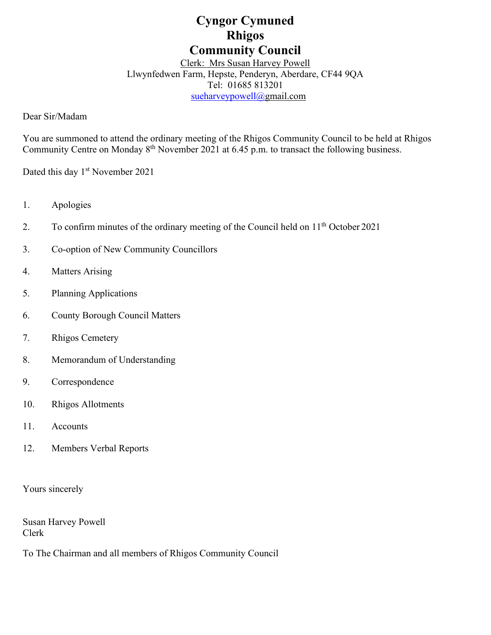# **Cyngor Cymuned Rhigos Community Council**

Clerk: Mrs Susan Harvey Powell Llwynfedwen Farm, Hepste, Penderyn, Aberdare, CF44 9QA Tel: 01685 813201 [sueharveypowell@g](mailto:sharveypowell@comin-infants.co.uk)mail.com

Dear Sir/Madam

You are summoned to attend the ordinary meeting of the Rhigos Community Council to be held at Rhigos Community Centre on Monday 8th November 2021 at 6.45 p.m. to transact the following business.

Dated this day 1<sup>st</sup> November 2021

- 1. Apologies
- 2. To confirm minutes of the ordinary meeting of the Council held on  $11<sup>th</sup>$  October 2021
- 3. Co-option of New Community Councillors
- 4. Matters Arising
- 5. Planning Applications
- 6. County Borough Council Matters
- 7. Rhigos Cemetery
- 8. Memorandum of Understanding
- 9. Correspondence
- 10. Rhigos Allotments
- 11. Accounts
- 12. Members Verbal Reports

Yours sincerely

Susan Harvey Powell Clerk

To The Chairman and all members of Rhigos Community Council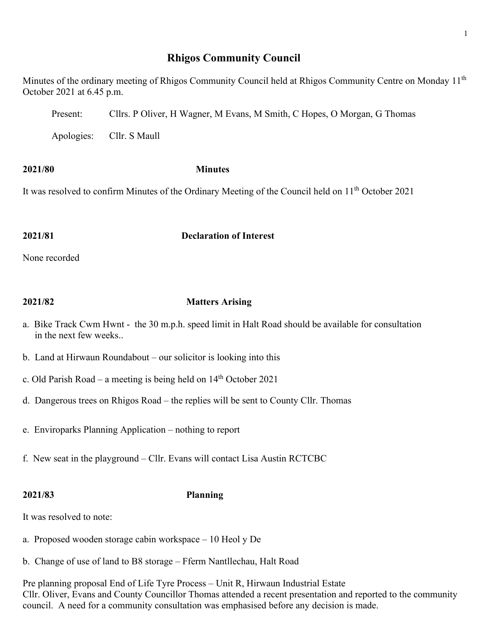## **Rhigos Community Council**

Minutes of the ordinary meeting of Rhigos Community Council held at Rhigos Community Centre on Monday 11<sup>th</sup> October 2021 at 6.45 p.m.

Present: Cllrs. P Oliver, H Wagner, M Evans, M Smith, C Hopes, O Morgan, G Thomas

Apologies: Cllr. S Maull

### **2021/80 Minutes**

It was resolved to confirm Minutes of the Ordinary Meeting of the Council held on 11<sup>th</sup> October 2021

### **2021/81 Declaration of Interest**

None recorded

### **2021/82 Matters Arising**

- a. Bike Track Cwm Hwnt the 30 m.p.h. speed limit in Halt Road should be available for consultation in the next few weeks..
- b. Land at Hirwaun Roundabout our solicitor is looking into this
- c. Old Parish Road a meeting is being held on  $14<sup>th</sup>$  October 2021
- d. Dangerous trees on Rhigos Road the replies will be sent to County Cllr. Thomas
- e. Enviroparks Planning Application nothing to report
- f. New seat in the playground Cllr. Evans will contact Lisa Austin RCTCBC

### **2021/83 Planning**

It was resolved to note:

- a. Proposed wooden storage cabin workspace 10 Heol y De
- b. Change of use of land to B8 storage Fferm Nantllechau, Halt Road

Pre planning proposal End of Life Tyre Process – Unit R, Hirwaun Industrial Estate Cllr. Oliver, Evans and County Councillor Thomas attended a recent presentation and reported to the community council. A need for a community consultation was emphasised before any decision is made.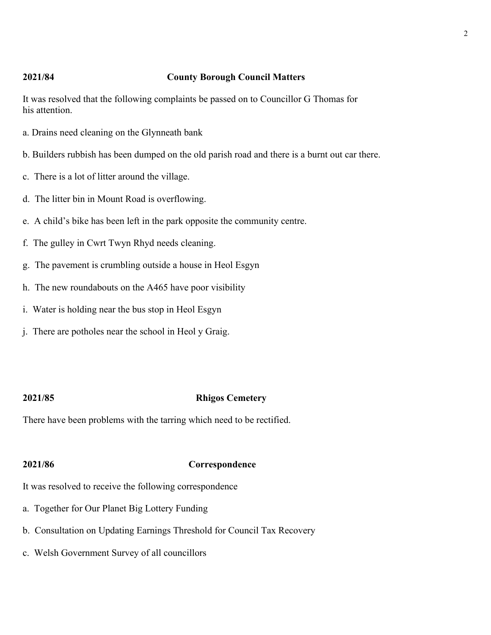### **2021/84 County Borough Council Matters**

It was resolved that the following complaints be passed on to Councillor G Thomas for his attention.

- a. Drains need cleaning on the Glynneath bank
- b. Builders rubbish has been dumped on the old parish road and there is a burnt out car there.
- c. There is a lot of litter around the village.
- d. The litter bin in Mount Road is overflowing.
- e. A child's bike has been left in the park opposite the community centre.
- f. The gulley in Cwrt Twyn Rhyd needs cleaning.
- g. The pavement is crumbling outside a house in Heol Esgyn
- h. The new roundabouts on the A465 have poor visibility
- i. Water is holding near the bus stop in Heol Esgyn
- j. There are potholes near the school in Heol y Graig.

### **2021/85 Rhigos Cemetery**

There have been problems with the tarring which need to be rectified.

### **2021/86 Correspondence**

It was resolved to receive the following correspondence

- a. Together for Our Planet Big Lottery Funding
- b. Consultation on Updating Earnings Threshold for Council Tax Recovery
- c. Welsh Government Survey of all councillors